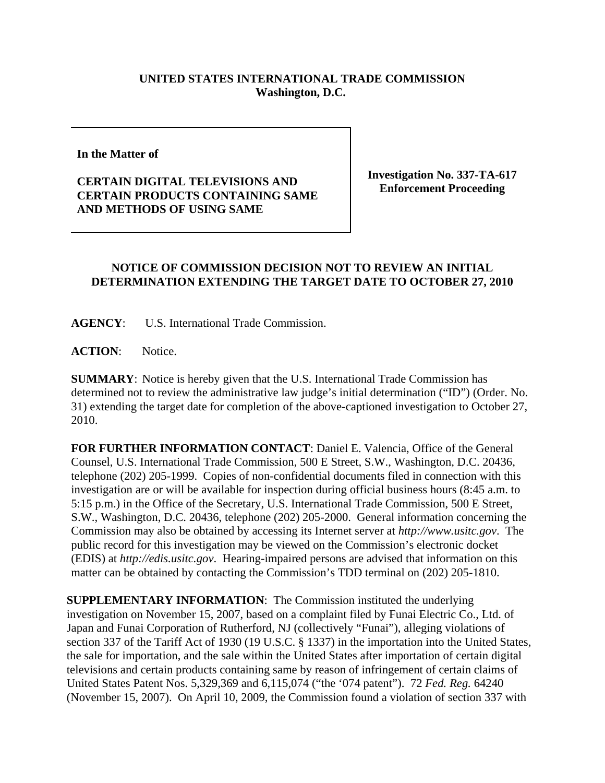## **UNITED STATES INTERNATIONAL TRADE COMMISSION Washington, D.C.**

**In the Matter of** 

**CERTAIN DIGITAL TELEVISIONS AND CERTAIN PRODUCTS CONTAINING SAME AND METHODS OF USING SAME**

**Investigation No. 337-TA-617 Enforcement Proceeding**

## **NOTICE OF COMMISSION DECISION NOT TO REVIEW AN INITIAL DETERMINATION EXTENDING THE TARGET DATE TO OCTOBER 27, 2010**

**AGENCY**: U.S. International Trade Commission.

**ACTION**: Notice.

**SUMMARY**: Notice is hereby given that the U.S. International Trade Commission has determined not to review the administrative law judge's initial determination ("ID") (Order. No. 31) extending the target date for completion of the above-captioned investigation to October 27, 2010.

**FOR FURTHER INFORMATION CONTACT**: Daniel E. Valencia, Office of the General Counsel, U.S. International Trade Commission, 500 E Street, S.W., Washington, D.C. 20436, telephone (202) 205-1999. Copies of non-confidential documents filed in connection with this investigation are or will be available for inspection during official business hours (8:45 a.m. to 5:15 p.m.) in the Office of the Secretary, U.S. International Trade Commission, 500 E Street, S.W., Washington, D.C. 20436, telephone (202) 205-2000. General information concerning the Commission may also be obtained by accessing its Internet server at *http://www.usitc.gov*. The public record for this investigation may be viewed on the Commission's electronic docket (EDIS) at *http://edis.usitc.gov*. Hearing-impaired persons are advised that information on this matter can be obtained by contacting the Commission's TDD terminal on (202) 205-1810.

**SUPPLEMENTARY INFORMATION**: The Commission instituted the underlying investigation on November 15, 2007, based on a complaint filed by Funai Electric Co., Ltd. of Japan and Funai Corporation of Rutherford, NJ (collectively "Funai"), alleging violations of section 337 of the Tariff Act of 1930 (19 U.S.C. § 1337) in the importation into the United States, the sale for importation, and the sale within the United States after importation of certain digital televisions and certain products containing same by reason of infringement of certain claims of United States Patent Nos. 5,329,369 and 6,115,074 ("the '074 patent"). 72 *Fed. Reg.* 64240 (November 15, 2007). On April 10, 2009, the Commission found a violation of section 337 with